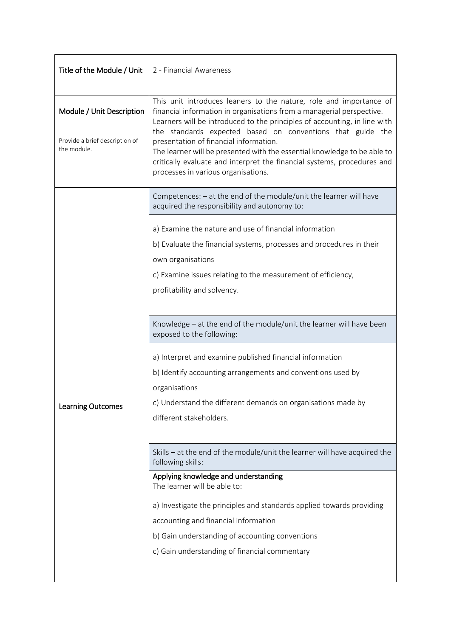| Title of the Module / Unit                    | 2 - Financial Awareness                                                                                                                                                                                                                                                                            |  |  |
|-----------------------------------------------|----------------------------------------------------------------------------------------------------------------------------------------------------------------------------------------------------------------------------------------------------------------------------------------------------|--|--|
| Module / Unit Description                     | This unit introduces leaners to the nature, role and importance of<br>financial information in organisations from a managerial perspective.<br>Learners will be introduced to the principles of accounting, in line with                                                                           |  |  |
| Provide a brief description of<br>the module. | the standards expected based on conventions that guide the<br>presentation of financial information.<br>The learner will be presented with the essential knowledge to be able to<br>critically evaluate and interpret the financial systems, procedures and<br>processes in various organisations. |  |  |
| <b>Learning Outcomes</b>                      | Competences: - at the end of the module/unit the learner will have<br>acquired the responsibility and autonomy to:                                                                                                                                                                                 |  |  |
|                                               | a) Examine the nature and use of financial information                                                                                                                                                                                                                                             |  |  |
|                                               | b) Evaluate the financial systems, processes and procedures in their                                                                                                                                                                                                                               |  |  |
|                                               | own organisations                                                                                                                                                                                                                                                                                  |  |  |
|                                               | c) Examine issues relating to the measurement of efficiency,                                                                                                                                                                                                                                       |  |  |
|                                               | profitability and solvency.                                                                                                                                                                                                                                                                        |  |  |
|                                               | Knowledge - at the end of the module/unit the learner will have been<br>exposed to the following:                                                                                                                                                                                                  |  |  |
|                                               | a) Interpret and examine published financial information                                                                                                                                                                                                                                           |  |  |
|                                               | b) Identify accounting arrangements and conventions used by                                                                                                                                                                                                                                        |  |  |
|                                               | organisations                                                                                                                                                                                                                                                                                      |  |  |
|                                               | c) Understand the different demands on organisations made by                                                                                                                                                                                                                                       |  |  |
|                                               | different stakeholders.                                                                                                                                                                                                                                                                            |  |  |
|                                               | Skills - at the end of the module/unit the learner will have acquired the<br>following skills:                                                                                                                                                                                                     |  |  |
|                                               | Applying knowledge and understanding<br>The learner will be able to:                                                                                                                                                                                                                               |  |  |
|                                               | a) Investigate the principles and standards applied towards providing                                                                                                                                                                                                                              |  |  |
|                                               | accounting and financial information                                                                                                                                                                                                                                                               |  |  |
|                                               | b) Gain understanding of accounting conventions                                                                                                                                                                                                                                                    |  |  |
|                                               | c) Gain understanding of financial commentary                                                                                                                                                                                                                                                      |  |  |
|                                               |                                                                                                                                                                                                                                                                                                    |  |  |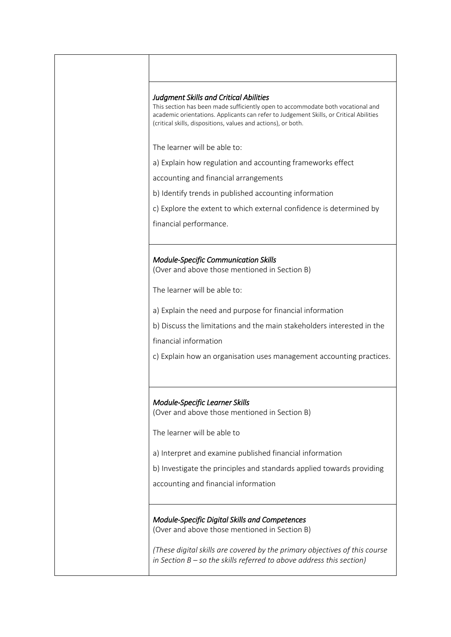## *Judgment Skills and Critical Abilities*

This section has been made sufficiently open to accommodate both vocational and academic orientations. Applicants can refer to Judgement Skills, or Critical Abilities (critical skills, dispositions, values and actions), or both.

The learner will be able to:

a) Explain how regulation and accounting frameworks effect

accounting and financial arrangements

b) Identify trends in published accounting information

c) Explore the extent to which external confidence is determined by

financial performance.

## *Module-Specific Communication Skills*

(Over and above those mentioned in Section B)

The learner will be able to:

a) Explain the need and purpose for financial information

b) Discuss the limitations and the main stakeholders interested in the

financial information

c) Explain how an organisation uses management accounting practices.

## *Module-Specific Learner Skills*

(Over and above those mentioned in Section B)

The learner will be able to

a) Interpret and examine published financial information

b) Investigate the principles and standards applied towards providing

accounting and financial information

*Module-Specific Digital Skills and Competences*  (Over and above those mentioned in Section B)

*(These digital skills are covered by the primary objectives of this course in Section B – so the skills referred to above address this section)*